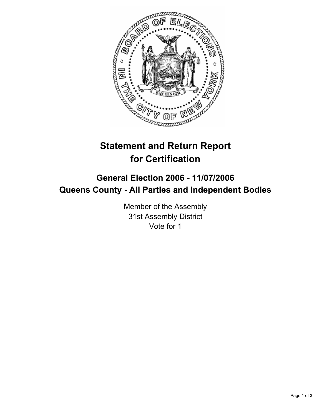

# **Statement and Return Report for Certification**

## **General Election 2006 - 11/07/2006 Queens County - All Parties and Independent Bodies**

Member of the Assembly 31st Assembly District Vote for 1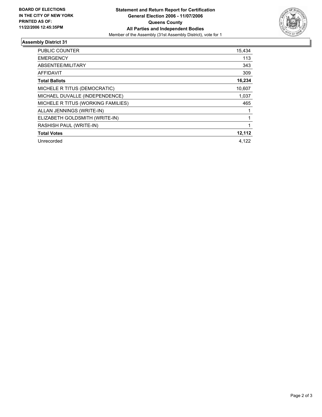

### **Assembly District 31**

| <b>PUBLIC COUNTER</b>              | 15,434 |
|------------------------------------|--------|
| <b>EMERGENCY</b>                   | 113    |
| ABSENTEE/MILITARY                  | 343    |
| <b>AFFIDAVIT</b>                   | 309    |
| <b>Total Ballots</b>               | 16,234 |
| MICHELE R TITUS (DEMOCRATIC)       | 10,607 |
| MICHAEL DUVALLE (INDEPENDENCE)     | 1,037  |
| MICHELE R TITUS (WORKING FAMILIES) | 465    |
| ALLAN JENNINGS (WRITE-IN)          |        |
| ELIZABETH GOLDSMITH (WRITE-IN)     |        |
| RASHISH PAUL (WRITE-IN)            |        |
| <b>Total Votes</b>                 | 12,112 |
| Unrecorded                         | 4.122  |